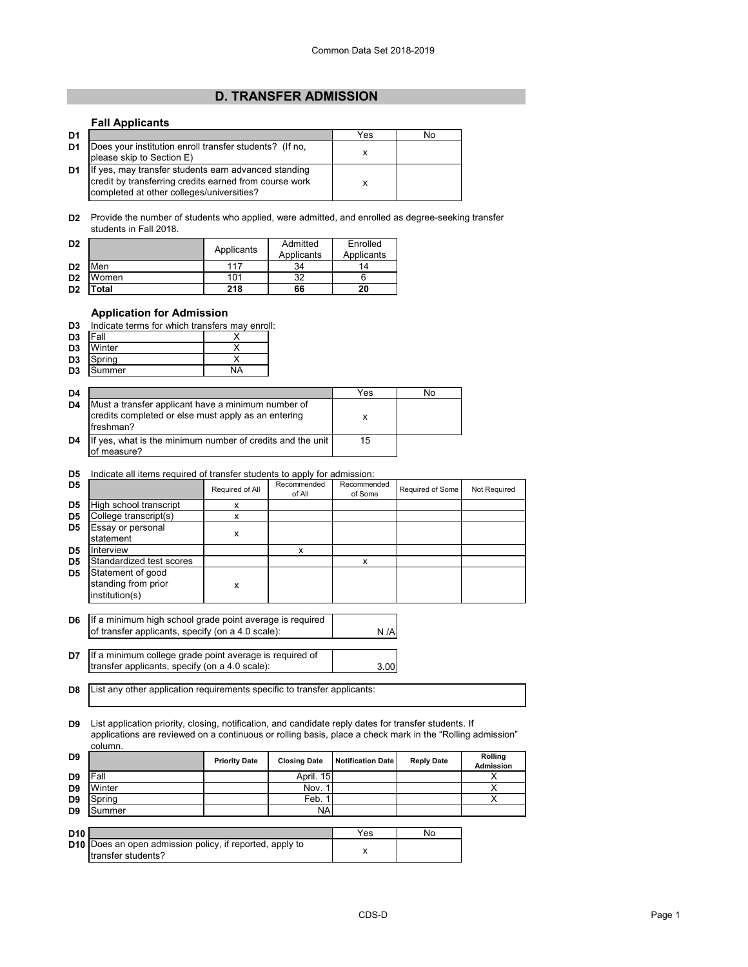# **D. TRANSFER ADMISSION**

#### **Fall Applicants**

| D <sub>1</sub> |                                                                                                                                                             | Yes | No |
|----------------|-------------------------------------------------------------------------------------------------------------------------------------------------------------|-----|----|
| D <sub>1</sub> | Does your institution enroll transfer students? (If no,<br>please skip to Section E)                                                                        |     |    |
| D <sub>1</sub> | If yes, may transfer students earn advanced standing<br>credit by transferring credits earned from course work<br>completed at other colleges/universities? |     |    |

**D2** Provide the number of students who applied, were admitted, and enrolled as degree-seeking transfer students in Fall 2018.

| D <sub>2</sub> |       | Applicants | Admitted<br>Applicants | Enrolled<br>Applicants |
|----------------|-------|------------|------------------------|------------------------|
| D <sub>2</sub> | Men   | 117        | 34                     | 14                     |
| D <sub>2</sub> | Women | 101        | 32                     |                        |
| D <sub>2</sub> | 'otal | 218        | 66                     | 20                     |

### **Application for Admission**

| D3 | Indicate terms for which transfers may enroll: |  |
|----|------------------------------------------------|--|
|    |                                                |  |

| D <sub>3</sub> | <b>IFall</b> |    |
|----------------|--------------|----|
| D <sub>3</sub> | Winter       |    |
| D <sub>3</sub> | Spring       |    |
| D <sub>3</sub> | Summer       | NΑ |

| D4             |                                                                                                                        | Yes | No |
|----------------|------------------------------------------------------------------------------------------------------------------------|-----|----|
| D <sub>4</sub> | Must a transfer applicant have a minimum number of<br>credits completed or else must apply as an entering<br>freshman? | x   |    |
| D4             | If yes, what is the minimum number of credits and the unit<br>of measure?                                              | 15  |    |

#### **D5** Indicate all items required of transfer students to apply for admission:

| D <sub>5</sub> |                                                            | Required of All | Recommended<br>of All | Recommended<br>of Some | Required of Some | Not Required |
|----------------|------------------------------------------------------------|-----------------|-----------------------|------------------------|------------------|--------------|
| D <sub>5</sub> | High school transcript                                     | x               |                       |                        |                  |              |
| D <sub>5</sub> | College transcript(s)                                      | x               |                       |                        |                  |              |
| D <sub>5</sub> | Essay or personal<br>statement                             | x               |                       |                        |                  |              |
| D <sub>5</sub> | Interview                                                  |                 | x                     |                        |                  |              |
| D <sub>5</sub> | Standardized test scores                                   |                 |                       | X                      |                  |              |
| D <sub>5</sub> | Statement of good<br>standing from prior<br>institution(s) | x               |                       |                        |                  |              |
| D6             | If a minimum high school grade point average is required   |                 |                       |                        |                  |              |

**D6** N /A If a minimum high school grade point average is required of transfer applicants, specify (on a 4.0 scale):

**D7** 3.00 If a minimum college grade point average is required of transfer applicants, specify (on a 4.0 scale):

**D8** List any other application requirements specific to transfer applicants:

**D9** List application priority, closing, notification, and candidate reply dates for transfer students. If applications are reviewed on a continuous or rolling basis, place a check mark in the "Rolling admission" column.

| D <sub>9</sub> |        | <b>Priority Date</b> | <b>Closing Date</b> | <b>Notification Date</b> | <b>Reply Date</b> | Rolling<br><b>Admission</b> |
|----------------|--------|----------------------|---------------------|--------------------------|-------------------|-----------------------------|
| D <sub>9</sub> | Fall   |                      | April. 15           |                          |                   |                             |
| D <sub>9</sub> | Winter |                      | Nov.                |                          |                   |                             |
| D <sub>9</sub> | Spring |                      | Feb.                |                          |                   |                             |
| D <sub>9</sub> | Summer |                      | <b>NA</b>           |                          |                   |                             |
|                |        |                      |                     |                          |                   |                             |

| D <sub>10</sub> |                                                                 | Yes | No |
|-----------------|-----------------------------------------------------------------|-----|----|
|                 | <b>D10</b> Does an open admission policy, if reported, apply to |     |    |
|                 | Itransfer students?                                             |     |    |